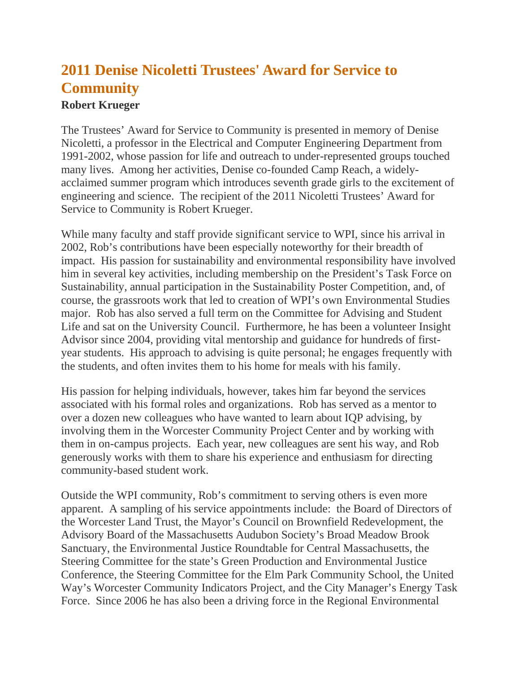## **2011 Denise Nicoletti Trustees' Award for Service to Community**

## **Robert Krueger**

The Trustees' Award for Service to Community is presented in memory of Denise Nicoletti, a professor in the Electrical and Computer Engineering Department from 1991-2002, whose passion for life and outreach to under-represented groups touched many lives. Among her activities, Denise co-founded Camp Reach, a widelyacclaimed summer program which introduces seventh grade girls to the excitement of engineering and science. The recipient of the 2011 Nicoletti Trustees' Award for Service to Community is Robert Krueger.

While many faculty and staff provide significant service to WPI, since his arrival in 2002, Rob's contributions have been especially noteworthy for their breadth of impact. His passion for sustainability and environmental responsibility have involved him in several key activities, including membership on the President's Task Force on Sustainability, annual participation in the Sustainability Poster Competition, and, of course, the grassroots work that led to creation of WPI's own Environmental Studies major. Rob has also served a full term on the Committee for Advising and Student Life and sat on the University Council. Furthermore, he has been a volunteer Insight Advisor since 2004, providing vital mentorship and guidance for hundreds of firstyear students. His approach to advising is quite personal; he engages frequently with the students, and often invites them to his home for meals with his family.

His passion for helping individuals, however, takes him far beyond the services associated with his formal roles and organizations. Rob has served as a mentor to over a dozen new colleagues who have wanted to learn about IQP advising, by involving them in the Worcester Community Project Center and by working with them in on-campus projects. Each year, new colleagues are sent his way, and Rob generously works with them to share his experience and enthusiasm for directing community-based student work.

Outside the WPI community, Rob's commitment to serving others is even more apparent. A sampling of his service appointments include: the Board of Directors of the Worcester Land Trust, the Mayor's Council on Brownfield Redevelopment, the Advisory Board of the Massachusetts Audubon Society's Broad Meadow Brook Sanctuary, the Environmental Justice Roundtable for Central Massachusetts, the Steering Committee for the state's Green Production and Environmental Justice Conference, the Steering Committee for the Elm Park Community School, the United Way's Worcester Community Indicators Project, and the City Manager's Energy Task Force. Since 2006 he has also been a driving force in the Regional Environmental